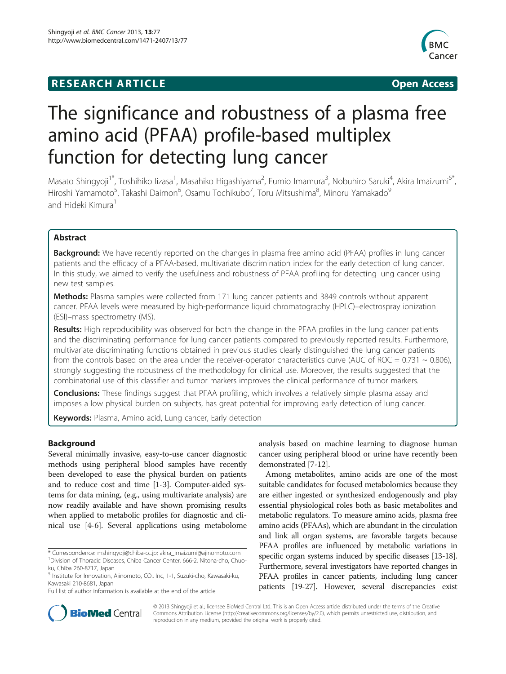## **RESEARCH ARTICLE Example 2018 12:00 Department of the CONNECTION CONNECTION CONNECTION CONNECTION**



# The significance and robustness of a plasma free amino acid (PFAA) profile-based multiplex function for detecting lung cancer

Masato Shingyoji<sup>1\*</sup>, Toshihiko lizasa<sup>1</sup>, Masahiko Higashiyama<sup>2</sup>, Fumio Imamura<sup>3</sup>, Nobuhiro Saruki<sup>4</sup>, Akira Imaizumi<sup>5\*</sup>, Hiroshi Yamamoto<sup>5</sup>, Takashi Daimon<sup>6</sup>, Osamu Tochikubo<sup>7</sup>, Toru Mitsushima<sup>8</sup>, Minoru Yamakado<sup>9</sup> and Hideki Kimura<sup>1</sup>

## Abstract

**Background:** We have recently reported on the changes in plasma free amino acid (PFAA) profiles in lung cancer patients and the efficacy of a PFAA-based, multivariate discrimination index for the early detection of lung cancer. In this study, we aimed to verify the usefulness and robustness of PFAA profiling for detecting lung cancer using new test samples.

Methods: Plasma samples were collected from 171 lung cancer patients and 3849 controls without apparent cancer. PFAA levels were measured by high-performance liquid chromatography (HPLC)–electrospray ionization (ESI)–mass spectrometry (MS).

Results: High reproducibility was observed for both the change in the PFAA profiles in the lung cancer patients and the discriminating performance for lung cancer patients compared to previously reported results. Furthermore, multivariate discriminating functions obtained in previous studies clearly distinguished the lung cancer patients from the controls based on the area under the receiver-operator characteristics curve (AUC of ROC =  $0.731 \sim 0.806$ ), strongly suggesting the robustness of the methodology for clinical use. Moreover, the results suggested that the combinatorial use of this classifier and tumor markers improves the clinical performance of tumor markers.

**Conclusions:** These findings suggest that PFAA profiling, which involves a relatively simple plasma assay and imposes a low physical burden on subjects, has great potential for improving early detection of lung cancer.

Keywords: Plasma, Amino acid, Lung cancer, Early detection

## Background

Several minimally invasive, easy-to-use cancer diagnostic methods using peripheral blood samples have recently been developed to ease the physical burden on patients and to reduce cost and time [\[1-3](#page-8-0)]. Computer-aided systems for data mining, (e.g., using multivariate analysis) are now readily available and have shown promising results when applied to metabolic profiles for diagnostic and clinical use [\[4-6](#page-8-0)]. Several applications using metabolome

Full list of author information is available at the end of the article

analysis based on machine learning to diagnose human cancer using peripheral blood or urine have recently been demonstrated [\[7](#page-8-0)-[12](#page-8-0)].

Among metabolites, amino acids are one of the most suitable candidates for focused metabolomics because they are either ingested or synthesized endogenously and play essential physiological roles both as basic metabolites and metabolic regulators. To measure amino acids, plasma free amino acids (PFAAs), which are abundant in the circulation and link all organ systems, are favorable targets because PFAA profiles are influenced by metabolic variations in specific organ systems induced by specific diseases [\[13-18](#page-8-0)]. Furthermore, several investigators have reported changes in PFAA profiles in cancer patients, including lung cancer patients [\[19-27\]](#page-9-0). However, several discrepancies exist



© 2013 Shingyoji et al.; licensee BioMed Central Ltd. This is an Open Access article distributed under the terms of the Creative Commons Attribution License [\(http://creativecommons.org/licenses/by/2.0\)](http://creativecommons.org/licenses/by/2.0), which permits unrestricted use, distribution, and reproduction in any medium, provided the original work is properly cited.

<sup>\*</sup> Correspondence: [mshingyoji@chiba-cc.jp;](mailto:mshingyoji@chiba-cc.jp) [akira\\_imaizumi@ajinomoto.com](mailto:akira_imaizumi@ajinomoto.com) <sup>1</sup> <sup>1</sup> Division of Thoracic Diseases, Chiba Cancer Center, 666-2, Nitona-cho, Chuoku, Chiba 260-8717, Japan

<sup>5</sup> Institute for Innovation, Ajinomoto, CO., Inc, 1-1, Suzuki-cho, Kawasaki-ku, Kawasaki 210-8681, Japan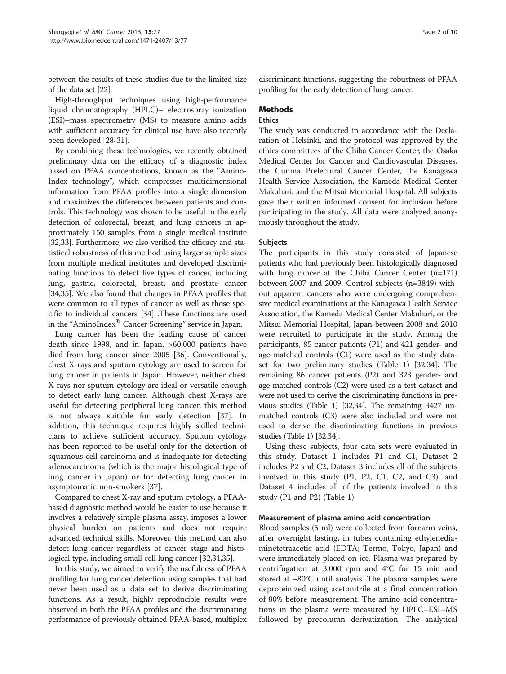between the results of these studies due to the limited size of the data set [\[22\]](#page-9-0).

High-throughput techniques using high-performance liquid chromatography (HPLC)– electrospray ionization (ESI)–mass spectrometry (MS) to measure amino acids with sufficient accuracy for clinical use have also recently been developed [\[28-31\]](#page-9-0).

By combining these technologies, we recently obtained preliminary data on the efficacy of a diagnostic index based on PFAA concentrations, known as the "Amino-Index technology", which compresses multidimensional information from PFAA profiles into a single dimension and maximizes the differences between patients and controls. This technology was shown to be useful in the early detection of colorectal, breast, and lung cancers in approximately 150 samples from a single medical institute [[32,33](#page-9-0)]. Furthermore, we also verified the efficacy and statistical robustness of this method using larger sample sizes from multiple medical institutes and developed discriminating functions to detect five types of cancer, including lung, gastric, colorectal, breast, and prostate cancer [[34,35](#page-9-0)]. We also found that changes in PFAA profiles that were common to all types of cancer as well as those specific to individual cancers [[34](#page-9-0)] .These functions are used in the "AminoIndex® Cancer Screening" service in Japan.

Lung cancer has been the leading cause of cancer death since 1998, and in Japan, >60,000 patients have died from lung cancer since 2005 [\[36](#page-9-0)]. Conventionally, chest X-rays and sputum cytology are used to screen for lung cancer in patients in Japan. However, neither chest X-rays nor sputum cytology are ideal or versatile enough to detect early lung cancer. Although chest X-rays are useful for detecting peripheral lung cancer, this method is not always suitable for early detection [\[37\]](#page-9-0). In addition, this technique requires highly skilled technicians to achieve sufficient accuracy. Sputum cytology has been reported to be useful only for the detection of squamous cell carcinoma and is inadequate for detecting adenocarcinoma (which is the major histological type of lung cancer in Japan) or for detecting lung cancer in asymptomatic non-smokers [\[37](#page-9-0)].

Compared to chest X-ray and sputum cytology, a PFAAbased diagnostic method would be easier to use because it involves a relatively simple plasma assay, imposes a lower physical burden on patients and does not require advanced technical skills. Moreover, this method can also detect lung cancer regardless of cancer stage and histological type, including small cell lung cancer [\[32,34,35](#page-9-0)].

In this study, we aimed to verify the usefulness of PFAA profiling for lung cancer detection using samples that had never been used as a data set to derive discriminating functions. As a result, highly reproducible results were observed in both the PFAA profiles and the discriminating performance of previously obtained PFAA-based, multiplex discriminant functions, suggesting the robustness of PFAA profiling for the early detection of lung cancer.

## **Methods**

### **Ethics**

The study was conducted in accordance with the Declaration of Helsinki, and the protocol was approved by the ethics committees of the Chiba Cancer Center, the Osaka Medical Center for Cancer and Cardiovascular Diseases, the Gunma Prefectural Cancer Center, the Kanagawa Health Service Association, the Kameda Medical Center Makuhari, and the Mitsui Memorial Hospital. All subjects gave their written informed consent for inclusion before participating in the study. All data were analyzed anonymously throughout the study.

#### Subjects

The participants in this study consisted of Japanese patients who had previously been histologically diagnosed with lung cancer at the Chiba Cancer Center (n=171) between 2007 and 2009. Control subjects (n=3849) without apparent cancers who were undergoing comprehensive medical examinations at the Kanagawa Health Service Association, the Kameda Medical Center Makuhari, or the Mitsui Memorial Hospital, Japan between 2008 and 2010 were recruited to participate in the study. Among the participants, 85 cancer patients (P1) and 421 gender- and age-matched controls (C1) were used as the study dataset for two preliminary studies (Table [1](#page-2-0)) [[32,34](#page-9-0)]. The remaining 86 cancer patients (P2) and 323 gender- and age-matched controls (C2) were used as a test dataset and were not used to derive the discriminating functions in previous studies (Table [1](#page-2-0)) [[32,34\]](#page-9-0). The remaining 3427 unmatched controls (C3) were also included and were not used to derive the discriminating functions in previous studies (Table [1\)](#page-2-0) [\[32,34](#page-9-0)].

Using these subjects, four data sets were evaluated in this study. Dataset 1 includes P1 and C1, Dataset 2 includes P2 and C2, Dataset 3 includes all of the subjects involved in this study (P1, P2, C1, C2, and C3), and Dataset 4 includes all of the patients involved in this study (P1 and P2) (Table [1\)](#page-2-0).

#### Measurement of plasma amino acid concentration

Blood samples (5 ml) were collected from forearm veins, after overnight fasting, in tubes containing ethylenediaminetetraacetic acid (EDTA; Termo, Tokyo, Japan) and were immediately placed on ice. Plasma was prepared by centrifugation at 3,000 rpm and 4°C for 15 min and stored at −80°C until analysis. The plasma samples were deproteinized using acetonitrile at a final concentration of 80% before measurement. The amino acid concentrations in the plasma were measured by HPLC–ESI–MS followed by precolumn derivatization. The analytical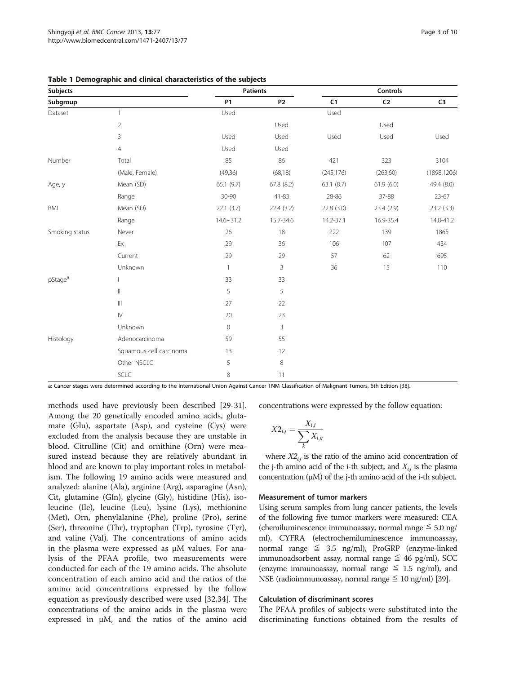| <b>Subjects</b>     |                         |                  | <b>Patients</b> |            | Controls   |               |  |  |
|---------------------|-------------------------|------------------|-----------------|------------|------------|---------------|--|--|
| Subgroup            |                         | <b>P1</b>        | P <sub>2</sub>  | C1         | ${\sf C2}$ | $\mathsf{C}3$ |  |  |
| Dataset             | $\mathbf{1}$            | Used             |                 | Used       |            |               |  |  |
|                     | $\sqrt{2}$              |                  | Used            |            | Used       |               |  |  |
|                     | 3                       | Used             | Used            | Used       | Used       | Used          |  |  |
|                     | $\overline{4}$          | Used             | Used            |            |            |               |  |  |
| Number              | Total                   | 85               | 86              | 421        | 323        | 3104          |  |  |
|                     | (Male, Female)          | (49,36)          | (68, 18)        | (245, 176) | (263,60)   | (1898, 1206)  |  |  |
| Age, y              | Mean (SD)               | 65.1(9.7)        | 67.8 (8.2)      | 63.1(8.7)  | 61.9(6.0)  | 49.4 (8.0)    |  |  |
|                     | Range                   | 30-90            | $41 - 83$       | 28-86      | 37-88      | $23 - 67$     |  |  |
| BMI                 | Mean (SD)               | 22.1(3.7)        | 22.4(3.2)       | 22.8(3.0)  | 23.4 (2.9) | 23.2(3.3)     |  |  |
|                     | Range                   | $14.6 \sim 31.2$ | 15.7-34.6       | 14.2-37.1  | 16.9-35.4  | 14.8-41.2     |  |  |
| Smoking status      | Never                   | 26               | 18              | 222        | 139        | 1865          |  |  |
|                     | Ex                      | 29               | 36              | 106        | 107        | 434           |  |  |
|                     | Current                 | 29               | 29              | 57         | 62         | 695           |  |  |
|                     | Unknown                 | $\mathbf{1}$     | $\mathsf{3}$    | 36         | 15         | 110           |  |  |
| pStage <sup>a</sup> |                         | 33               | 33              |            |            |               |  |  |
|                     | $\parallel$             | 5                | 5               |            |            |               |  |  |
|                     | $\mathbb{H}$            | 27               | 22              |            |            |               |  |  |
|                     | ${\sf IV}$              | 20               | 23              |            |            |               |  |  |
|                     | Unknown                 | $\mathbf 0$      | 3               |            |            |               |  |  |
| Histology           | Adenocarcinoma          | 59               | 55              |            |            |               |  |  |
|                     | Squamous cell carcinoma | 13               | 12              |            |            |               |  |  |
|                     | Other NSCLC             | 5                | $\,8\,$         |            |            |               |  |  |
|                     | SCLC                    | 8                | 11              |            |            |               |  |  |

<span id="page-2-0"></span>

|  |  |  |  |  | Table 1 Demographic and clinical characteristics of the subjects |  |  |  |
|--|--|--|--|--|------------------------------------------------------------------|--|--|--|
|--|--|--|--|--|------------------------------------------------------------------|--|--|--|

a: Cancer stages were determined according to the International Union Against Cancer TNM Classification of Malignant Tumors, 6th Edition [[38\]](#page-9-0).

methods used have previously been described [\[29-31](#page-9-0)]. Among the 20 genetically encoded amino acids, glutamate (Glu), aspartate (Asp), and cysteine (Cys) were excluded from the analysis because they are unstable in blood. Citrulline (Cit) and ornithine (Orn) were measured instead because they are relatively abundant in blood and are known to play important roles in metabolism. The following 19 amino acids were measured and analyzed: alanine (Ala), arginine (Arg), asparagine (Asn), Cit, glutamine (Gln), glycine (Gly), histidine (His), isoleucine (Ile), leucine (Leu), lysine (Lys), methionine (Met), Orn, phenylalanine (Phe), proline (Pro), serine (Ser), threonine (Thr), tryptophan (Trp), tyrosine (Tyr), and valine (Val). The concentrations of amino acids in the plasma were expressed as μM values. For analysis of the PFAA profile, two measurements were conducted for each of the 19 amino acids. The absolute concentration of each amino acid and the ratios of the amino acid concentrations expressed by the follow equation as previously described were used [[32,34](#page-9-0)]. The concentrations of the amino acids in the plasma were expressed in μM, and the ratios of the amino acid concentrations were expressed by the follow equation:

$$
X2_{i,j} = \frac{X_{i,j}}{\sum_{k} X_{i,k}}
$$

where  $X2_{ii}$  is the ratio of the amino acid concentration of the j-th amino acid of the i-th subject, and  $X_{i,j}$  is the plasma concentration (μM) of the j-th amino acid of the i-th subject.

#### Measurement of tumor markers

Using serum samples from lung cancer patients, the levels of the following five tumor markers were measured: CEA (chemiluminescence immunoassay, normal range  $\leq 5.0$  ng/ ml), CYFRA (electrochemiluminescence immunoassay, normal range  $\leq$  3.5 ng/ml), ProGRP (enzyme-linked immunoadsorbent assay, normal range  $\leq$  46 pg/ml), SCC (enzyme immunoassay, normal range  $\leq$  1.5 ng/ml), and NSE (radioimmunoassay, normal range  $\leq 10$  ng/ml) [[39](#page-9-0)].

#### Calculation of discriminant scores

The PFAA profiles of subjects were substituted into the discriminating functions obtained from the results of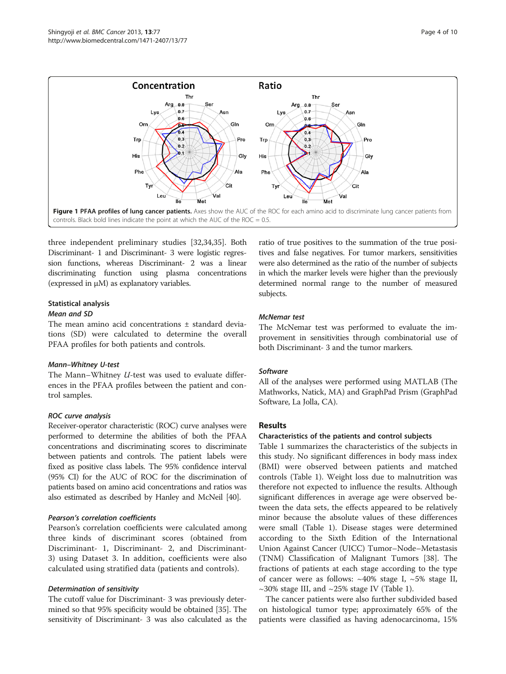<span id="page-3-0"></span>

three independent preliminary studies [[32,34,35](#page-9-0)]. Both Discriminant- 1 and Discriminant- 3 were logistic regression functions, whereas Discriminant- 2 was a linear discriminating function using plasma concentrations (expressed in μM) as explanatory variables.

## Statistical analysis

#### Mean and SD

The mean amino acid concentrations ± standard deviations (SD) were calculated to determine the overall PFAA profiles for both patients and controls.

#### Mann–Whitney U-test

The Mann–Whitney U-test was used to evaluate differences in the PFAA profiles between the patient and control samples.

#### ROC curve analysis

Receiver-operator characteristic (ROC) curve analyses were performed to determine the abilities of both the PFAA concentrations and discriminating scores to discriminate between patients and controls. The patient labels were fixed as positive class labels. The 95% confidence interval (95% CI) for the AUC of ROC for the discrimination of patients based on amino acid concentrations and ratios was also estimated as described by Hanley and McNeil [\[40\]](#page-9-0).

#### Pearson's correlation coefficients

Pearson's correlation coefficients were calculated among three kinds of discriminant scores (obtained from Discriminant- 1, Discriminant- 2, and Discriminant-3) using Dataset 3. In addition, coefficients were also calculated using stratified data (patients and controls).

#### Determination of sensitivity

The cutoff value for Discriminant- 3 was previously determined so that 95% specificity would be obtained [\[35\]](#page-9-0). The sensitivity of Discriminant- 3 was also calculated as the ratio of true positives to the summation of the true positives and false negatives. For tumor markers, sensitivities were also determined as the ratio of the number of subjects in which the marker levels were higher than the previously determined normal range to the number of measured subjects.

#### McNemar test

The McNemar test was performed to evaluate the improvement in sensitivities through combinatorial use of both Discriminant- 3 and the tumor markers.

## Software

All of the analyses were performed using MATLAB (The Mathworks, Natick, MA) and GraphPad Prism (GraphPad Software, La Jolla, CA).

## Results

## Characteristics of the patients and control subjects

Table [1](#page-2-0) summarizes the characteristics of the subjects in this study. No significant differences in body mass index (BMI) were observed between patients and matched controls (Table [1\)](#page-2-0). Weight loss due to malnutrition was therefore not expected to influence the results. Although significant differences in average age were observed between the data sets, the effects appeared to be relatively minor because the absolute values of these differences were small (Table [1\)](#page-2-0). Disease stages were determined according to the Sixth Edition of the International Union Against Cancer (UICC) Tumor–Node–Metastasis (TNM) Classification of Malignant Tumors [[38\]](#page-9-0). The fractions of patients at each stage according to the type of cancer were as follows:  $~40\%$  stage I,  $~5\%$  stage II,  $\sim$ 30% stage III, and  $\sim$ 25% stage IV (Table [1](#page-2-0)).

The cancer patients were also further subdivided based on histological tumor type; approximately 65% of the patients were classified as having adenocarcinoma, 15%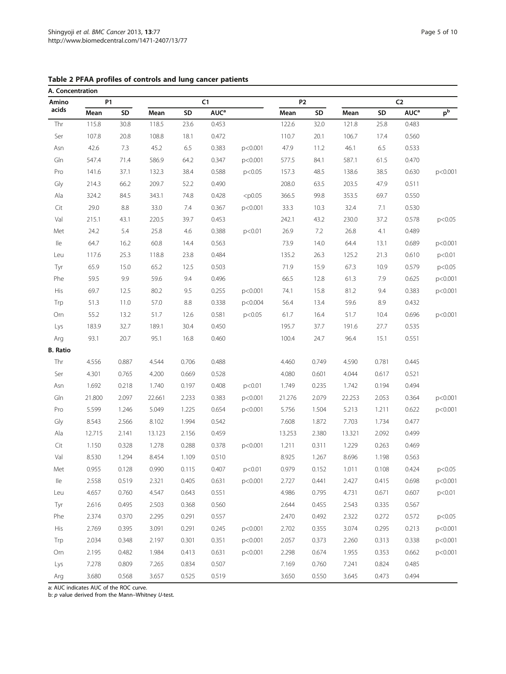| Amino           | <b>P1</b> |       |        |       | C1               |           | <b>P2</b> |       | C <sub>2</sub> |       |                  |         |
|-----------------|-----------|-------|--------|-------|------------------|-----------|-----------|-------|----------------|-------|------------------|---------|
| acids           | Mean      | SD    | Mean   | SD    | AUC <sup>a</sup> |           | Mean      | SD    | Mean           | SD    | AUC <sup>a</sup> | $p^b$   |
| Thr             | 115.8     | 30.8  | 118.5  | 23.6  | 0.453            |           | 122.6     | 32.0  | 121.8          | 25.8  | 0.483            |         |
| Ser             | 107.8     | 20.8  | 108.8  | 18.1  | 0.472            |           | 110.7     | 20.1  | 106.7          | 17.4  | 0.560            |         |
| Asn             | 42.6      | 7.3   | 45.2   | 6.5   | 0.383            | p<0.001   | 47.9      | 11.2  | 46.1           | 6.5   | 0.533            |         |
| Gln             | 547.4     | 71.4  | 586.9  | 64.2  | 0.347            | p<0.001   | 577.5     | 84.1  | 587.1          | 61.5  | 0.470            |         |
| Pro             | 141.6     | 37.1  | 132.3  | 38.4  | 0.588            | p<0.05    | 157.3     | 48.5  | 138.6          | 38.5  | 0.630            | p<0.001 |
| Gly             | 214.3     | 66.2  | 209.7  | 52.2  | 0.490            |           | 208.0     | 63.5  | 203.5          | 47.9  | 0.511            |         |
| Ala             | 324.2     | 84.5  | 343.1  | 74.8  | 0.428            | $<$ p0.05 | 366.5     | 99.8  | 353.5          | 69.7  | 0.550            |         |
| Cit             | 29.0      | 8.8   | 33.0   | 7.4   | 0.367            | p<0.001   | 33.3      | 10.3  | 32.4           | 7.1   | 0.530            |         |
| Val             | 215.1     | 43.1  | 220.5  | 39.7  | 0.453            |           | 242.1     | 43.2  | 230.0          | 37.2  | 0.578            | p<0.05  |
| Met             | 24.2      | 5.4   | 25.8   | 4.6   | 0.388            | p<0.01    | 26.9      | 7.2   | 26.8           | 4.1   | 0.489            |         |
| lle             | 64.7      | 16.2  | 60.8   | 14.4  | 0.563            |           | 73.9      | 14.0  | 64.4           | 13.1  | 0.689            | p<0.001 |
| Leu             | 117.6     | 25.3  | 118.8  | 23.8  | 0.484            |           | 135.2     | 26.3  | 125.2          | 21.3  | 0.610            | p<0.01  |
| Tyr             | 65.9      | 15.0  | 65.2   | 12.5  | 0.503            |           | 71.9      | 15.9  | 67.3           | 10.9  | 0.579            | p<0.05  |
| Phe             | 59.5      | 9.9   | 59.6   | 9.4   | 0.496            |           | 66.5      | 12.8  | 61.3           | 7.9   | 0.625            | p<0.001 |
| His             | 69.7      | 12.5  | 80.2   | 9.5   | 0.255            | p<0.001   | 74.1      | 15.8  | 81.2           | 9.4   | 0.383            | p<0.001 |
| Trp             | 51.3      | 11.0  | 57.0   | 8.8   | 0.338            | p<0.004   | 56.4      | 13.4  | 59.6           | 8.9   | 0.432            |         |
| Orn             | 55.2      | 13.2  | 51.7   | 12.6  | 0.581            | p<0.05    | 61.7      | 16.4  | 51.7           | 10.4  | 0.696            | p<0.001 |
| Lys             | 183.9     | 32.7  | 189.1  | 30.4  | 0.450            |           | 195.7     | 37.7  | 191.6          | 27.7  | 0.535            |         |
| Arg             | 93.1      | 20.7  | 95.1   | 16.8  | 0.460            |           | 100.4     | 24.7  | 96.4           | 15.1  | 0.551            |         |
| <b>B.</b> Ratio |           |       |        |       |                  |           |           |       |                |       |                  |         |
| Thr             | 4.556     | 0.887 | 4.544  | 0.706 | 0.488            |           | 4.460     | 0.749 | 4.590          | 0.781 | 0.445            |         |
| Ser             | 4.301     | 0.765 | 4.200  | 0.669 | 0.528            |           | 4.080     | 0.601 | 4.044          | 0.617 | 0.521            |         |
| Asn             | 1.692     | 0.218 | 1.740  | 0.197 | 0.408            | p<0.01    | 1.749     | 0.235 | 1.742          | 0.194 | 0.494            |         |
| Gln             | 21.800    | 2.097 | 22.661 | 2.233 | 0.383            | p<0.001   | 21.276    | 2.079 | 22.253         | 2.053 | 0.364            | p<0.001 |
| Pro             | 5.599     | 1.246 | 5.049  | 1.225 | 0.654            | p<0.001   | 5.756     | 1.504 | 5.213          | 1.211 | 0.622            | p<0.001 |
| Gly             | 8.543     | 2.566 | 8.102  | 1.994 | 0.542            |           | 7.608     | 1.872 | 7.703          | 1.734 | 0.477            |         |
| Ala             | 12.715    | 2.141 | 13.123 | 2.156 | 0.459            |           | 13.253    | 2.380 | 13.321         | 2.092 | 0.499            |         |
| Cit             | 1.150     | 0.328 | 1.278  | 0.288 | 0.378            | p<0.001   | 1.211     | 0.311 | 1.229          | 0.263 | 0.469            |         |
| Val             | 8.530     | 1.294 | 8.454  | 1.109 | 0.510            |           | 8.925     | 1.267 | 8.696          | 1.198 | 0.563            |         |
| Met             | 0.955     | 0.128 | 0.990  | 0.115 | 0.407            | p<0.01    | 0.979     | 0.152 | 1.011          | 0.108 | 0.424            | p<0.05  |
| lle             | 2.558     | 0.519 | 2.321  | 0.405 | 0.631            | p<0.001   | 2.727     | 0.441 | 2.427          | 0.415 | 0.698            | p<0.001 |
| Leu             | 4.657     | 0.760 | 4.547  | 0.643 | 0.551            |           | 4.986     | 0.795 | 4.731          | 0.671 | 0.607            | p<0.01  |
| Tyr             | 2.616     | 0.495 | 2.503  | 0.368 | 0.560            |           | 2.644     | 0.455 | 2.543          | 0.335 | 0.567            |         |
| Phe             | 2.374     | 0.370 | 2.295  | 0.291 | 0.557            |           | 2.470     | 0.492 | 2.322          | 0.272 | 0.572            | p<0.05  |
| His             | 2.769     | 0.395 | 3.091  | 0.291 | 0.245            | p<0.001   | 2.702     | 0.355 | 3.074          | 0.295 | 0.213            | p<0.001 |
| Trp             | 2.034     | 0.348 | 2.197  | 0.301 | 0.351            | p<0.001   | 2.057     | 0.373 | 2.260          | 0.313 | 0.338            | p<0.001 |
| Orn             | 2.195     | 0.482 | 1.984  | 0.413 | 0.631            | p<0.001   | 2.298     | 0.674 | 1.955          | 0.353 | 0.662            | p<0.001 |
| Lys             | 7.278     | 0.809 | 7.265  | 0.834 | 0.507            |           | 7.169     | 0.760 | 7.241          | 0.824 | 0.485            |         |
| Arg             | 3.680     | 0.568 | 3.657  | 0.525 | 0.519            |           | 3.650     | 0.550 | 3.645          | 0.473 | 0.494            |         |

<span id="page-4-0"></span>Table 2 PFAA profiles of controls and lung cancer patients

a: AUC indicates AUC of the ROC curve.

b:  $p$  value derived from the Mann-Whitney  $U$ -test.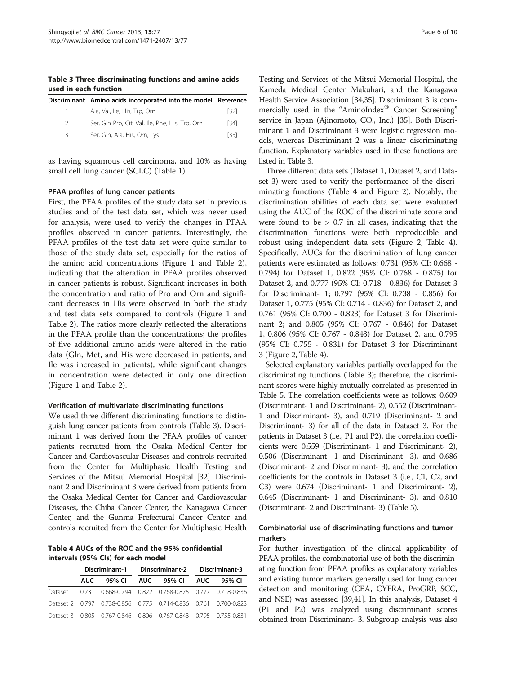<span id="page-5-0"></span>Table 3 Three discriminating functions and amino acids used in each function

|               | Discriminant Amino acids incorporated into the model Reference |      |
|---------------|----------------------------------------------------------------|------|
|               | Ala, Val, Ile, His, Trp, Orn                                   | [32] |
| $\mathcal{P}$ | Ser, Gln Pro, Cit, Val, Ile, Phe, His, Trp, Orn                | [34] |
| २             | Ser, Gln, Ala, His, Orn, Lys                                   | [35] |

as having squamous cell carcinoma, and 10% as having small cell lung cancer (SCLC) (Table [1\)](#page-2-0).

#### PFAA profiles of lung cancer patients

First, the PFAA profiles of the study data set in previous studies and of the test data set, which was never used for analysis, were used to verify the changes in PFAA profiles observed in cancer patients. Interestingly, the PFAA profiles of the test data set were quite similar to those of the study data set, especially for the ratios of the amino acid concentrations (Figure [1](#page-3-0) and Table [2](#page-4-0)), indicating that the alteration in PFAA profiles observed in cancer patients is robust. Significant increases in both the concentration and ratio of Pro and Orn and significant decreases in His were observed in both the study and test data sets compared to controls (Figure [1](#page-3-0) and Table [2\)](#page-4-0). The ratios more clearly reflected the alterations in the PFAA profile than the concentrations; the profiles of five additional amino acids were altered in the ratio data (Gln, Met, and His were decreased in patients, and Ile was increased in patients), while significant changes in concentration were detected in only one direction (Figure [1](#page-3-0) and Table [2](#page-4-0)).

#### Verification of multivariate discriminating functions

We used three different discriminating functions to distinguish lung cancer patients from controls (Table 3). Discriminant 1 was derived from the PFAA profiles of cancer patients recruited from the Osaka Medical Center for Cancer and Cardiovascular Diseases and controls recruited from the Center for Multiphasic Health Testing and Services of the Mitsui Memorial Hospital [[32](#page-9-0)]. Discriminant 2 and Discriminant 3 were derived from patients from the Osaka Medical Center for Cancer and Cardiovascular Diseases, the Chiba Cancer Center, the Kanagawa Cancer Center, and the Gunma Prefectural Cancer Center and controls recruited from the Center for Multiphasic Health

Table 4 AUCs of the ROC and the 95% confidential intervals (95% CIs) for each model

| Discriminant-1 Dinscriminant-2 Discriminant-3 |                                                                 |  |  |  |  |
|-----------------------------------------------|-----------------------------------------------------------------|--|--|--|--|
| AUC.                                          | 95% CI AUC 95% CI AUC 95% CI                                    |  |  |  |  |
|                                               | Dataset 1 0.731 0.668-0.794 0.822 0.768-0.875 0.777 0.718-0.836 |  |  |  |  |
|                                               | Dataset 2 0.797 0.738-0.856 0.775 0.714-0.836 0.761 0.700-0.823 |  |  |  |  |
|                                               | Dataset 3 0.805 0.767-0.846 0.806 0.767-0.843 0.795 0.755-0.831 |  |  |  |  |

Testing and Services of the Mitsui Memorial Hospital, the Kameda Medical Center Makuhari, and the Kanagawa Health Service Association [\[34,35](#page-9-0)]. Discriminant 3 is commercially used in the "AminoIndex® Cancer Screening" service in Japan (Ajinomoto, CO., Inc.) [[35](#page-9-0)]. Both Discriminant 1 and Discriminant 3 were logistic regression models, whereas Discriminant 2 was a linear discriminating function. Explanatory variables used in these functions are listed in Table 3.

Three different data sets (Dataset 1, Dataset 2, and Dataset 3) were used to verify the performance of the discriminating functions (Table 4 and Figure [2](#page-6-0)). Notably, the discrimination abilities of each data set were evaluated using the AUC of the ROC of the discriminate score and were found to be  $> 0.7$  in all cases, indicating that the discrimination functions were both reproducible and robust using independent data sets (Figure [2,](#page-6-0) Table 4). Specifically, AUCs for the discrimination of lung cancer patients were estimated as follows: 0.731 (95% CI: 0.668 - 0.794) for Dataset 1, 0.822 (95% CI: 0.768 - 0.875) for Dataset 2, and 0.777 (95% CI: 0.718 - 0.836) for Dataset 3 for Discriminant- 1; 0.797 (95% CI: 0.738 - 0.856) for Dataset 1, 0.775 (95% CI: 0.714 - 0.836) for Dataset 2, and 0.761 (95% CI: 0.700 - 0.823) for Dataset 3 for Discriminant 2; and 0.805 (95% CI: 0.767 - 0.846) for Dataset 1, 0.806 (95% CI: 0.767 - 0.843) for Dataset 2, and 0.795 (95% CI: 0.755 - 0.831) for Dataset 3 for Discriminant 3 (Figure [2,](#page-6-0) Table 4).

Selected explanatory variables partially overlapped for the discriminating functions (Table 3); therefore, the discriminant scores were highly mutually correlated as presented in Table [5.](#page-7-0) The correlation coefficients were as follows: 0.609 (Discriminant- 1 and Discriminant- 2), 0.552 (Discriminant-1 and Discriminant- 3), and 0.719 (Discriminant- 2 and Discriminant- 3) for all of the data in Dataset 3. For the patients in Dataset 3 (i.e., P1 and P2), the correlation coefficients were 0.559 (Discriminant- 1 and Discriminant- 2), 0.506 (Discriminant- 1 and Discriminant- 3), and 0.686 (Discriminant- 2 and Discriminant- 3), and the correlation coefficients for the controls in Dataset 3 (i.e., C1, C2, and C3) were 0.674 (Discriminant- 1 and Discriminant- 2), 0.645 (Discriminant- 1 and Discriminant- 3), and 0.810 (Discriminant- 2 and Discriminant- 3) (Table [5\)](#page-7-0).

### Combinatorial use of discriminating functions and tumor markers

For further investigation of the clinical applicability of PFAA profiles, the combinatorial use of both the discriminating function from PFAA profiles as explanatory variables and existing tumor markers generally used for lung cancer detection and monitoring (CEA, CYFRA, ProGRP, SCC, and NSE) was assessed [\[39,41\]](#page-9-0). In this analysis, Dataset 4 (P1 and P2) was analyzed using discriminant scores obtained from Discriminant- 3. Subgroup analysis was also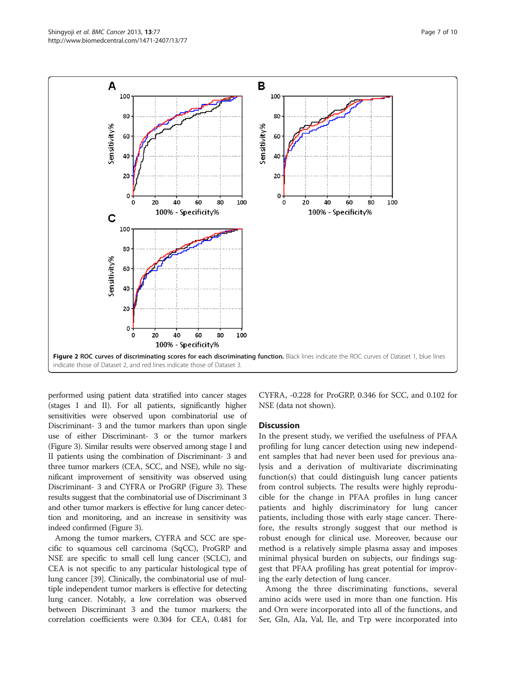<span id="page-6-0"></span>

performed using patient data stratified into cancer stages (stages I and II). For all patients, significantly higher sensitivities were observed upon combinatorial use of Discriminant- 3 and the tumor markers than upon single use of either Discriminant- 3 or the tumor markers (Figure [3\)](#page-7-0). Similar results were observed among stage I and II patients using the combination of Discriminant- 3 and three tumor markers (CEA, SCC, and NSE), while no significant improvement of sensitivity was observed using Discriminant- 3 and CYFRA or ProGRP (Figure [3](#page-7-0)). These results suggest that the combinatorial use of Discriminant 3 and other tumor markers is effective for lung cancer detection and monitoring, and an increase in sensitivity was indeed confirmed (Figure [3](#page-7-0)).

Among the tumor markers, CYFRA and SCC are specific to squamous cell carcinoma (SqCC), ProGRP and NSE are specific to small cell lung cancer (SCLC), and CEA is not specific to any particular histological type of lung cancer [[39](#page-9-0)]. Clinically, the combinatorial use of multiple independent tumor markers is effective for detecting lung cancer. Notably, a low correlation was observed between Discriminant 3 and the tumor markers; the correlation coefficients were 0.304 for CEA, 0.481 for

CYFRA, -0.228 for ProGRP, 0.346 for SCC, and 0.102 for NSE (data not shown).

#### **Discussion**

In the present study, we verified the usefulness of PFAA profiling for lung cancer detection using new independent samples that had never been used for previous analysis and a derivation of multivariate discriminating function(s) that could distinguish lung cancer patients from control subjects. The results were highly reproducible for the change in PFAA profiles in lung cancer patients and highly discriminatory for lung cancer patients, including those with early stage cancer. Therefore, the results strongly suggest that our method is robust enough for clinical use. Moreover, because our method is a relatively simple plasma assay and imposes minimal physical burden on subjects, our findings suggest that PFAA profiling has great potential for improving the early detection of lung cancer.

Among the three discriminating functions, several amino acids were used in more than one function. His and Orn were incorporated into all of the functions, and Ser, Gln, Ala, Val, Ile, and Trp were incorporated into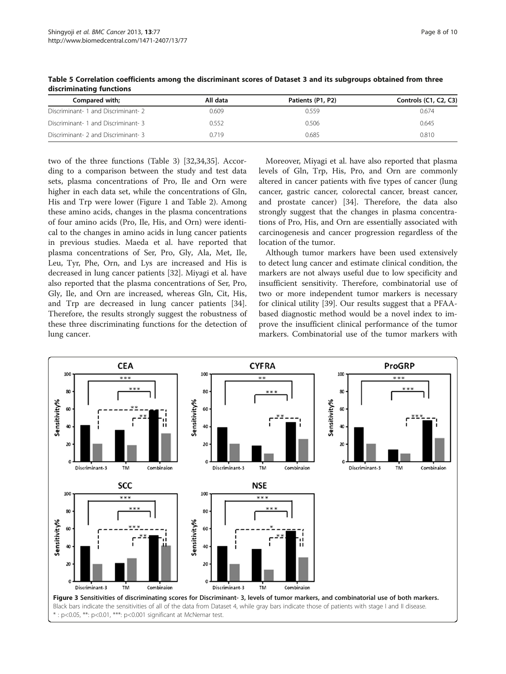| Compared with;                      | All data | Patients (P1, P2) | Controls (C1, C2, C3) |
|-------------------------------------|----------|-------------------|-----------------------|
| Discriminant- 1 and Discriminant- 2 | 0.609    | 0.559             | 0.674                 |
| Discriminant- 1 and Discriminant- 3 | 0.552    | 0.506             | 0.645                 |
| Discriminant- 2 and Discriminant- 3 | 0.719    | 0.685             | 0.810                 |

<span id="page-7-0"></span>Table 5 Correlation coefficients among the discriminant scores of Dataset 3 and its subgroups obtained from three discriminating functions

two of the three functions (Table [3](#page-5-0)) [\[32,34,35\]](#page-9-0). According to a comparison between the study and test data sets, plasma concentrations of Pro, Ile and Orn were higher in each data set, while the concentrations of Gln, His and Trp were lower (Figure [1](#page-3-0) and Table [2](#page-4-0)). Among these amino acids, changes in the plasma concentrations of four amino acids (Pro, Ile, His, and Orn) were identical to the changes in amino acids in lung cancer patients in previous studies. Maeda et al. have reported that plasma concentrations of Ser, Pro, Gly, Ala, Met, Ile, Leu, Tyr, Phe, Orn, and Lys are increased and His is decreased in lung cancer patients [\[32](#page-9-0)]. Miyagi et al. have also reported that the plasma concentrations of Ser, Pro, Gly, Ile, and Orn are increased, whereas Gln, Cit, His, and Trp are decreased in lung cancer patients [\[34](#page-9-0)]. Therefore, the results strongly suggest the robustness of these three discriminating functions for the detection of lung cancer.

Moreover, Miyagi et al. have also reported that plasma levels of Gln, Trp, His, Pro, and Orn are commonly altered in cancer patients with five types of cancer (lung cancer, gastric cancer, colorectal cancer, breast cancer, and prostate cancer) [[34\]](#page-9-0). Therefore, the data also strongly suggest that the changes in plasma concentrations of Pro, His, and Orn are essentially associated with carcinogenesis and cancer progression regardless of the location of the tumor.

Although tumor markers have been used extensively to detect lung cancer and estimate clinical condition, the markers are not always useful due to low specificity and insufficient sensitivity. Therefore, combinatorial use of two or more independent tumor markers is necessary for clinical utility [\[39\]](#page-9-0). Our results suggest that a PFAAbased diagnostic method would be a novel index to improve the insufficient clinical performance of the tumor markers. Combinatorial use of the tumor markers with

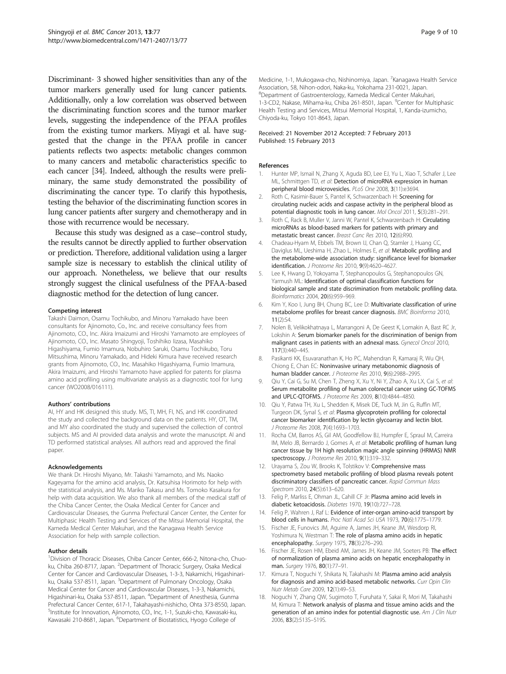<span id="page-8-0"></span>Discriminant- 3 showed higher sensitivities than any of the tumor markers generally used for lung cancer patients. Additionally, only a low correlation was observed between the discriminating function scores and the tumor marker levels, suggesting the independence of the PFAA profiles from the existing tumor markers. Miyagi et al. have suggested that the change in the PFAA profile in cancer patients reflects two aspects: metabolic changes common to many cancers and metabolic characteristics specific to each cancer [\[34\]](#page-9-0). Indeed, although the results were preliminary, the same study demonstrated the possibility of discriminating the cancer type. To clarify this hypothesis, testing the behavior of the discriminating function scores in lung cancer patients after surgery and chemotherapy and in those with recurrence would be necessary.

Because this study was designed as a case–control study, the results cannot be directly applied to further observation or prediction. Therefore, additional validation using a larger sample size is necessary to establish the clinical utility of our approach. Nonetheless, we believe that our results strongly suggest the clinical usefulness of the PFAA-based diagnostic method for the detection of lung cancer.

#### Competing interest

Takashi Daimon, Osamu Tochikubo, and Minoru Yamakado have been consultants for Ajinomoto, Co., Inc. and receive consultancy fees from Ajinomoto, CO., Inc. Akira Imaizumi and Hiroshi Yamamoto are employees of Ajinomoto, CO., Inc. Masato Shingyoji, Toshihiko Iizasa, Masahiko Higashiyama, Fumio Imamura, Nobuhiro Saruki, Osamu Tochikubo, Toru Mitsushima, Minoru Yamakado, and Hideki Kimura have received research grants from Ajinomoto, CO., Inc. Masahiko Higashiyama, Fumio Imamura, Akira Imaizumi, and Hiroshi Yamamoto have applied for patents for plasma amino acid profiling using multivariate analysis as a diagnostic tool for lung cancer (WO2008/016111).

#### Authors' contributions

AI, HY and HK designed this study. MS, TI, MH, FI, NS, and HK coordinated the study and collected the background data on the patients. HY, OT, TM, and MY also coordinated the study and supervised the collection of control subjects. MS and AI provided data analysis and wrote the manuscript. AI and TD performed statistical analyses. All authors read and approved the final paper.

#### Acknowledgements

We thank Dr. Hiroshi Miyano, Mr. Takashi Yamamoto, and Ms. Naoko Kageyama for the amino acid analysis, Dr. Katsuhisa Horimoto for help with the statistical analysis, and Ms. Mariko Takasu and Ms. Tomoko Kasakura for help with data acquisition. We also thank all members of the medical staff of the Chiba Cancer Center, the Osaka Medical Center for Cancer and Cardiovascular Diseases, the Gunma Prefectural Cancer Center, the Center for Multiphasic Health Testing and Services of the Mitsui Memorial Hospital, the Kameda Medical Center Makuhari, and the Kanagawa Health Service Association for help with sample collection.

#### Author details

<sup>1</sup> Division of Thoracic Diseases, Chiba Cancer Center, 666-2, Nitona-cho, Chuoku, Chiba 260-8717, Japan. <sup>2</sup>Department of Thoracic Surgery, Osaka Medical Center for Cancer and Cardiovascular Diseases, 1-3-3, Nakamichi, Higashinariku, Osaka 537-8511, Japan. <sup>3</sup>Department of Pulmonary Oncology, Osaka Medical Center for Cancer and Cardiovascular Diseases, 1-3-3, Nakamichi, Higashinari-ku, Osaka 537-8511, Japan. <sup>4</sup>Department of Anesthesia, Gunma Prefectural Cancer Center, 617-1, Takahayashi-nishicho, Ohta 373-8550, Japan. 5 Institute for Innovation, Ajinomoto, CO., Inc, 1-1, Suzuki-cho, Kawasaki-ku, Kawasaki 210-8681, Japan. <sup>6</sup>Department of Biostatistics, Hyogo College of

Medicine, 1-1, Mukogawa-cho, Nishinomiya, Japan. <sup>7</sup>Kanagawa Health Service Association, 58, Nihon-odori, Naka-ku, Yokohama 231-0021, Japan. 8 Department of Gastroenterology, Kameda Medical Center Makuhari, 1-3-CD2, Nakase, Mihama-ku, Chiba 261-8501, Japan. <sup>9</sup>Center for Multiphasic Health Testing and Services, Mitsui Memorial Hospital, 1, Kanda-izumicho, Chiyoda-ku, Tokyo 101-8643, Japan.

#### Received: 21 November 2012 Accepted: 7 February 2013 Published: 15 February 2013

#### References

- 1. Hunter MP, Ismail N, Zhang X, Aguda BD, Lee EJ, Yu L, Xiao T, Schafer J, Lee ML, Schmittgen TD, et al: Detection of microRNA expression in human peripheral blood microvesicles. PLoS One 2008, 3(11):e3694.
- 2. Roth C, Kasimir-Bauer S, Pantel K, Schwarzenbach H: Screening for circulating nucleic acids and caspase activity in the peripheral blood as potential diagnostic tools in lung cancer. Mol Oncol 2011, 5(3):281–291.
- 3. Roth C, Rack B, Muller V, Janni W, Pantel K, Schwarzenbach H: Circulating microRNAs as blood-based markers for patients with primary and metastatic breast cancer. Breast Canc Res 2010, 12(6):R90.
- 4. Chadeau-Hyam M, Ebbels TM, Brown IJ, Chan Q, Stamler J, Huang CC, Daviglus ML, Ueshima H, Zhao L, Holmes E, et al: Metabolic profiling and the metabolome-wide association study: significance level for biomarker identification. J Proteome Res 2010, 9(9):4620–4627.
- 5. Lee K, Hwang D, Yokoyama T, Stephanopoulos G, Stephanopoulos GN, Yarmush ML: Identification of optimal classification functions for biological sample and state discrimination from metabolic profiling data. Bioinformatics 2004, 20(6):959–969.
- 6. Kim Y, Koo I, Jung BH, Chung BC, Lee D: Multivariate classification of urine metabolome profiles for breast cancer diagnosis. BMC Bioinforma 2010, 11(2):S4.
- 7. Nolen B, Velikokhatnaya L, Marrangoni A, De Geest K, Lomakin A, Bast RC Jr, Lokshin A: Serum biomarker panels for the discrimination of benign from malignant cases in patients with an adnexal mass. Gynecol Oncol 2010, 117(3):440–445.
- 8. Pasikanti KK, Esuvaranathan K, Ho PC, Mahendran R, Kamaraj R, Wu QH, Chiong E, Chan EC: Noninvasive urinary metabonomic diagnosis of human bladder cancer. J Proteome Res 2010, 9(6):2988–2995.
- Qiu Y, Cai G, Su M, Chen T, Zheng X, Xu Y, Ni Y, Zhao A, Xu LX, Cai S, et al: Serum metabolite profiling of human colorectal cancer using GC-TOFMS and UPLC-QTOFMS. J Proteome Res 2009, 8(10):4844–4850.
- 10. Qiu Y, Patwa TH, Xu L, Shedden K, Misek DE, Tuck M, Jin G, Ruffin MT, Turgeon DK, Synal S, et al: Plasma glycoprotein profiling for colorectal cancer biomarker identification by lectin glycoarray and lectin blot. J Proteome Res 2008, 7(4):1693–1703.
- 11. Rocha CM, Barros AS, Gil AM, Goodfellow BJ, Humpfer E, Spraul M, Carreira IM, Melo JB, Bernardo J, Gomes A, et al: Metabolic profiling of human lung cancer tissue by 1H high resolution magic angle spinning (HRMAS) NMR spectroscopy. J Proteome Res 2010, 9(1):319-332.
- 12. Urayama S, Zou W, Brooks K, Tolstikov V: Comprehensive mass spectrometry based metabolic profiling of blood plasma reveals potent discriminatory classifiers of pancreatic cancer. Rapid Commun Mass Spectrom 2010, 24(5):613–620.
- 13. Felig P, Marliss E, Ohman JL, Cahill CF Jr: Plasma amino acid levels in diabetic ketoacidosis. Diabetes 1970, 19(10):727–728.
- 14. Felig P, Wahren J, Raf L: Evidence of inter-organ amino-acid transport by blood cells in humans. Proc Natl Acad Sci USA 1973, 70(6):1775–1779.
- 15. Fischer JE, Funovics JM, Aguirre A, James JH, Keane JM, Wesdorp RI, Yoshimura N, Westman T: The role of plasma amino acids in hepatic encephalopathy. Surgery 1975, 78(3):276-290.
- 16. Fischer JE, Rosen HM, Ebeid AM, James JH, Keane JM, Soeters PB: The effect of normalization of plasma amino acids on hepatic encephalopathy in man. Surgery 1976, 80(1):77-91.
- 17. Kimura T, Noguchi Y, Shikata N, Takahashi M: Plasma amino acid analysis for diagnosis and amino acid-based metabolic networks. Curr Opin Clin Nutr Metab Care 2009, 12(1):49–53.
- 18. Noguchi Y, Zhang QW, Sugimoto T, Furuhata Y, Sakai R, Mori M, Takahashi M, Kimura T: Network analysis of plasma and tissue amino acids and the generation of an amino index for potential diagnostic use. Am J Clin Nutr 2006, 83(2):513S–519S.